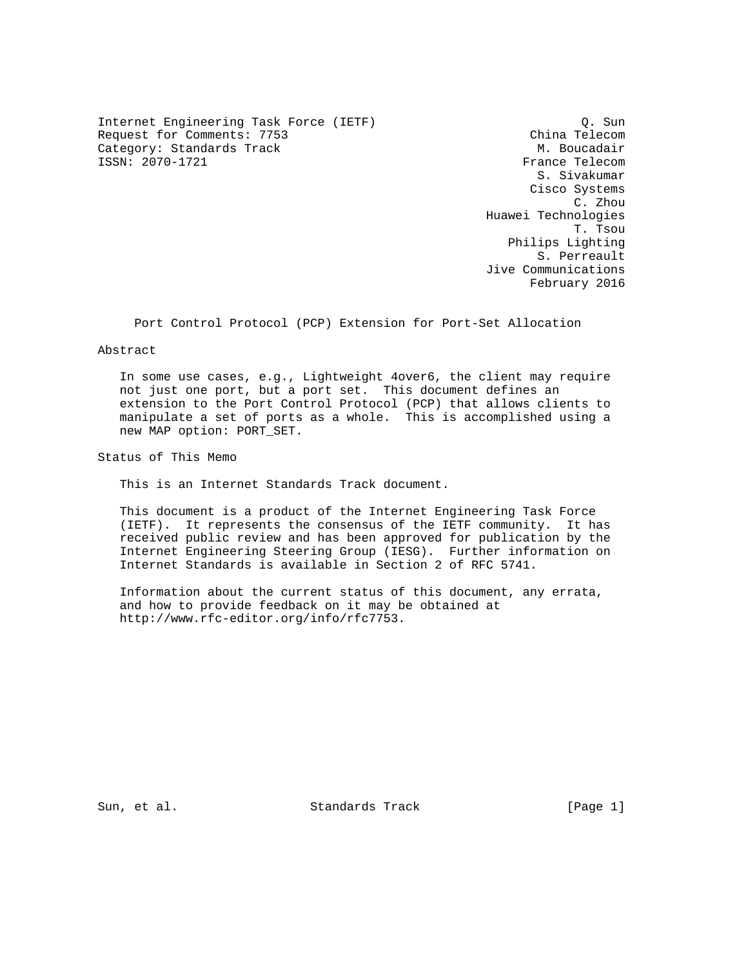Internet Engineering Task Force (IETF) Q. Sun Request for Comments: 7753 China Telecom Category: Standards Track M. Boucadair M. Boucadair<br>
SSN: 2070-1721 TSSN: 2070-1721 ISSN: 2070-1721

 S. Sivakumar Cisco Systems C. Zhou Huawei Technologies T. Tsou Philips Lighting S. Perreault Jive Communications February 2016

Port Control Protocol (PCP) Extension for Port-Set Allocation

Abstract

 In some use cases, e.g., Lightweight 4over6, the client may require not just one port, but a port set. This document defines an extension to the Port Control Protocol (PCP) that allows clients to manipulate a set of ports as a whole. This is accomplished using a new MAP option: PORT\_SET.

Status of This Memo

This is an Internet Standards Track document.

 This document is a product of the Internet Engineering Task Force (IETF). It represents the consensus of the IETF community. It has received public review and has been approved for publication by the Internet Engineering Steering Group (IESG). Further information on Internet Standards is available in Section 2 of RFC 5741.

 Information about the current status of this document, any errata, and how to provide feedback on it may be obtained at http://www.rfc-editor.org/info/rfc7753.

Sun, et al. Standards Track [Page 1]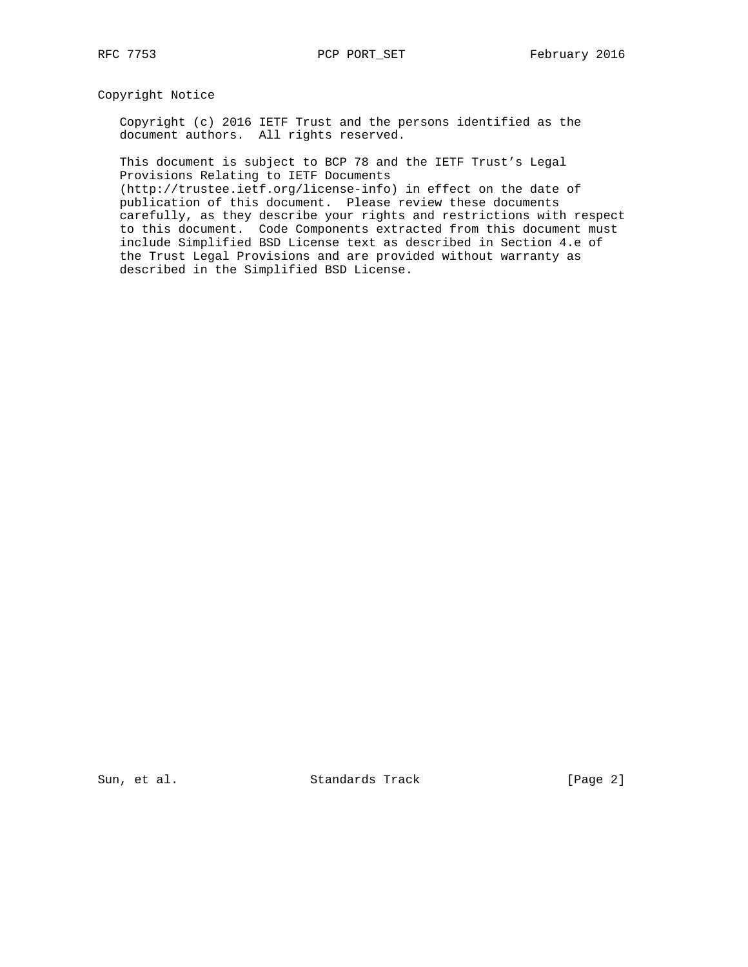Copyright Notice

 Copyright (c) 2016 IETF Trust and the persons identified as the document authors. All rights reserved.

 This document is subject to BCP 78 and the IETF Trust's Legal Provisions Relating to IETF Documents

 (http://trustee.ietf.org/license-info) in effect on the date of publication of this document. Please review these documents carefully, as they describe your rights and restrictions with respect to this document. Code Components extracted from this document must include Simplified BSD License text as described in Section 4.e of the Trust Legal Provisions and are provided without warranty as described in the Simplified BSD License.

Sun, et al. Standards Track [Page 2]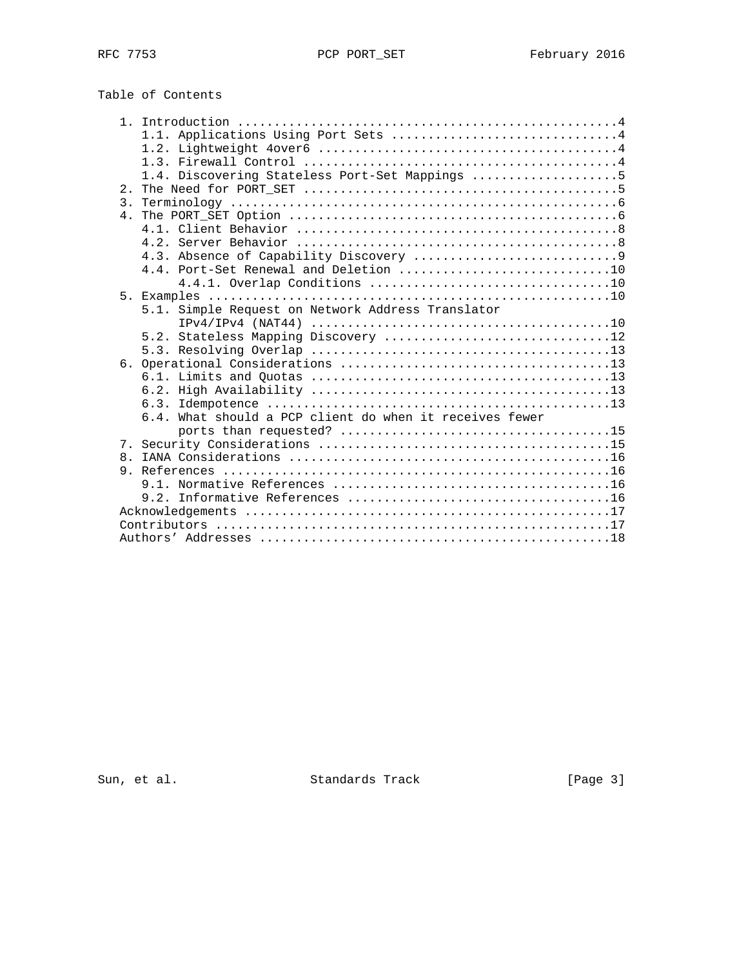# Table of Contents

|                  | 1.1. Applications Using Port Sets 4                     |
|------------------|---------------------------------------------------------|
|                  |                                                         |
|                  |                                                         |
|                  | 1.4. Discovering Stateless Port-Set Mappings 5          |
|                  |                                                         |
| $\overline{3}$ . |                                                         |
|                  |                                                         |
|                  |                                                         |
|                  |                                                         |
|                  |                                                         |
|                  | 4.4. Port-Set Renewal and Deletion 10                   |
|                  |                                                         |
|                  |                                                         |
|                  | 5.1. Simple Request on Network Address Translator       |
|                  |                                                         |
|                  | 5.2. Stateless Mapping Discovery 12                     |
|                  |                                                         |
|                  |                                                         |
|                  |                                                         |
|                  |                                                         |
|                  |                                                         |
|                  | 6.4. What should a PCP client do when it receives fewer |
|                  |                                                         |
|                  |                                                         |
|                  |                                                         |
|                  |                                                         |
|                  |                                                         |
|                  |                                                         |
|                  |                                                         |
|                  |                                                         |
|                  |                                                         |

Sun, et al. Standards Track [Page 3]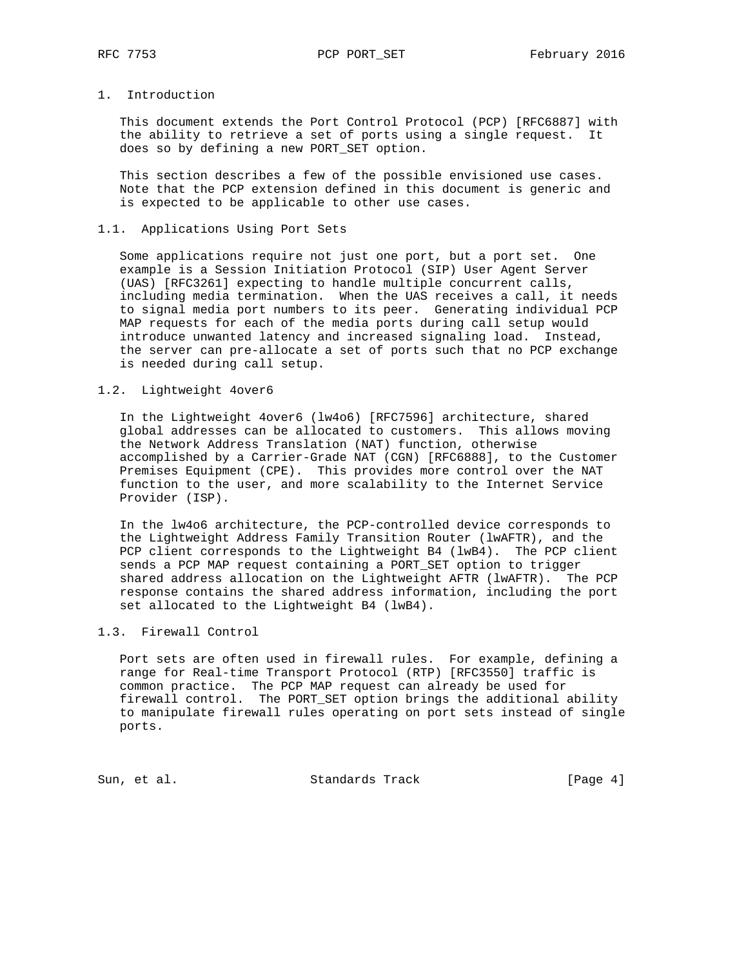# 1. Introduction

 This document extends the Port Control Protocol (PCP) [RFC6887] with the ability to retrieve a set of ports using a single request. It does so by defining a new PORT\_SET option.

 This section describes a few of the possible envisioned use cases. Note that the PCP extension defined in this document is generic and is expected to be applicable to other use cases.

# 1.1. Applications Using Port Sets

 Some applications require not just one port, but a port set. One example is a Session Initiation Protocol (SIP) User Agent Server (UAS) [RFC3261] expecting to handle multiple concurrent calls, including media termination. When the UAS receives a call, it needs to signal media port numbers to its peer. Generating individual PCP MAP requests for each of the media ports during call setup would introduce unwanted latency and increased signaling load. Instead, the server can pre-allocate a set of ports such that no PCP exchange is needed during call setup.

### 1.2. Lightweight 4over6

 In the Lightweight 4over6 (lw4o6) [RFC7596] architecture, shared global addresses can be allocated to customers. This allows moving the Network Address Translation (NAT) function, otherwise accomplished by a Carrier-Grade NAT (CGN) [RFC6888], to the Customer Premises Equipment (CPE). This provides more control over the NAT function to the user, and more scalability to the Internet Service Provider (ISP).

 In the lw4o6 architecture, the PCP-controlled device corresponds to the Lightweight Address Family Transition Router (lwAFTR), and the PCP client corresponds to the Lightweight B4 (lwB4). The PCP client sends a PCP MAP request containing a PORT\_SET option to trigger shared address allocation on the Lightweight AFTR (lwAFTR). The PCP response contains the shared address information, including the port set allocated to the Lightweight B4 (lwB4).

#### 1.3. Firewall Control

 Port sets are often used in firewall rules. For example, defining a range for Real-time Transport Protocol (RTP) [RFC3550] traffic is common practice. The PCP MAP request can already be used for firewall control. The PORT\_SET option brings the additional ability to manipulate firewall rules operating on port sets instead of single ports.

Sun, et al. Standards Track [Page 4]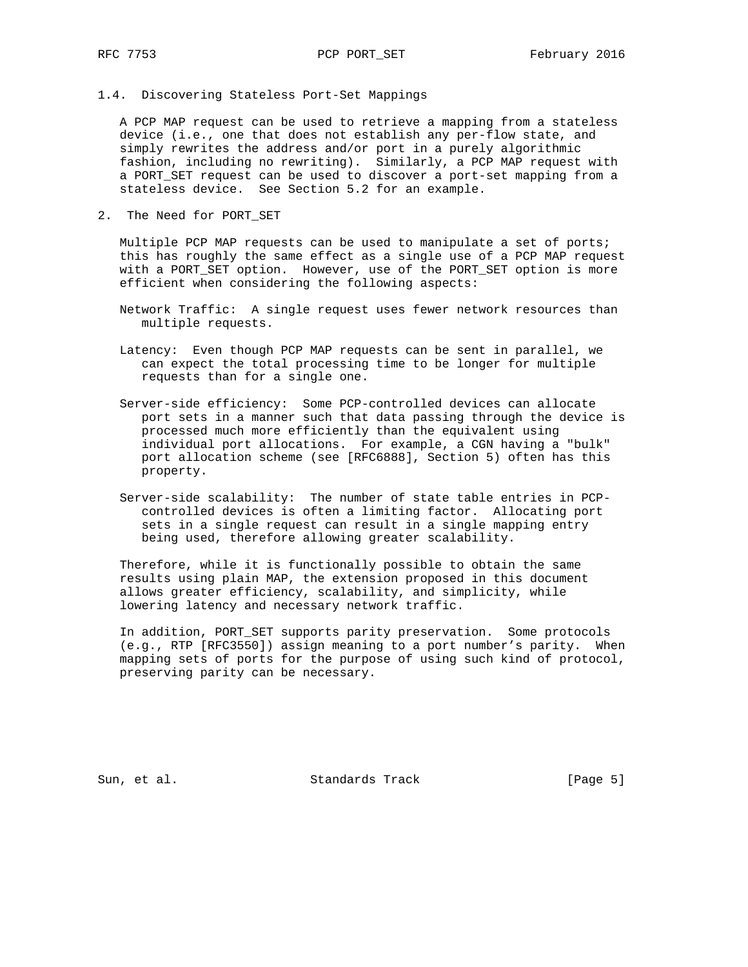1.4. Discovering Stateless Port-Set Mappings

 A PCP MAP request can be used to retrieve a mapping from a stateless device (i.e., one that does not establish any per-flow state, and simply rewrites the address and/or port in a purely algorithmic fashion, including no rewriting). Similarly, a PCP MAP request with a PORT\_SET request can be used to discover a port-set mapping from a stateless device. See Section 5.2 for an example.

2. The Need for PORT\_SET

 Multiple PCP MAP requests can be used to manipulate a set of ports; this has roughly the same effect as a single use of a PCP MAP request with a PORT\_SET option. However, use of the PORT\_SET option is more efficient when considering the following aspects:

- Network Traffic: A single request uses fewer network resources than multiple requests.
- Latency: Even though PCP MAP requests can be sent in parallel, we can expect the total processing time to be longer for multiple requests than for a single one.
- Server-side efficiency: Some PCP-controlled devices can allocate port sets in a manner such that data passing through the device is processed much more efficiently than the equivalent using individual port allocations. For example, a CGN having a "bulk" port allocation scheme (see [RFC6888], Section 5) often has this property.
- Server-side scalability: The number of state table entries in PCP controlled devices is often a limiting factor. Allocating port sets in a single request can result in a single mapping entry being used, therefore allowing greater scalability.

 Therefore, while it is functionally possible to obtain the same results using plain MAP, the extension proposed in this document allows greater efficiency, scalability, and simplicity, while lowering latency and necessary network traffic.

 In addition, PORT\_SET supports parity preservation. Some protocols (e.g., RTP [RFC3550]) assign meaning to a port number's parity. When mapping sets of ports for the purpose of using such kind of protocol, preserving parity can be necessary.

Sun, et al. Standards Track [Page 5]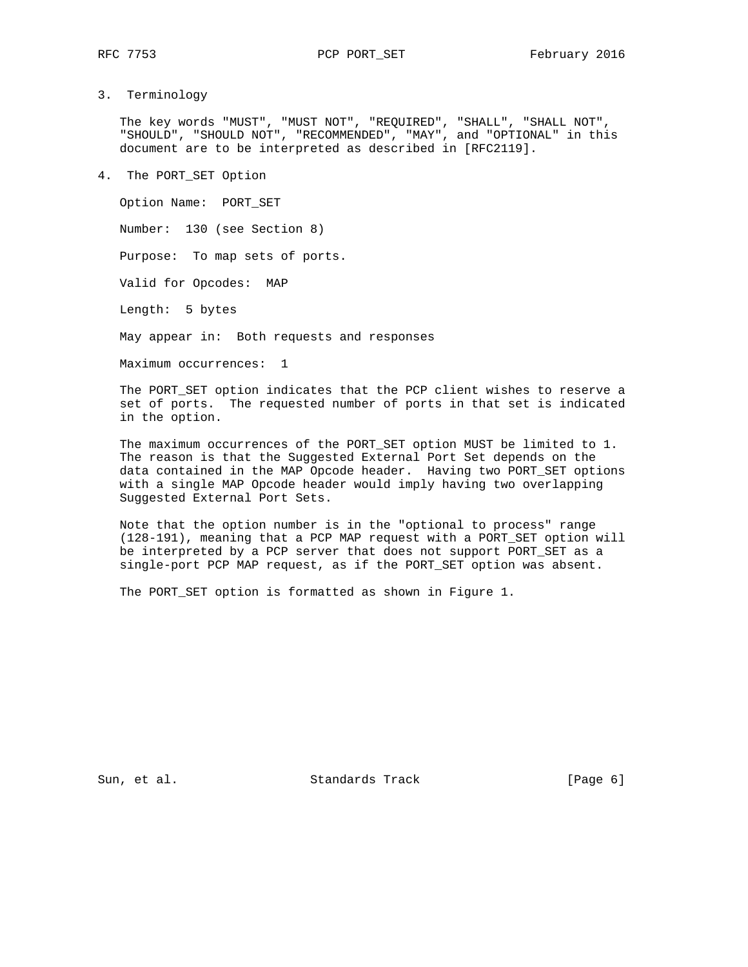# 3. Terminology

 The key words "MUST", "MUST NOT", "REQUIRED", "SHALL", "SHALL NOT", "SHOULD", "SHOULD NOT", "RECOMMENDED", "MAY", and "OPTIONAL" in this document are to be interpreted as described in [RFC2119].

4. The PORT\_SET Option

 Option Name: PORT\_SET Number: 130 (see Section 8) Purpose: To map sets of ports. Valid for Opcodes: MAP Length: 5 bytes May appear in: Both requests and responses Maximum occurrences: 1

 The PORT\_SET option indicates that the PCP client wishes to reserve a set of ports. The requested number of ports in that set is indicated in the option.

 The maximum occurrences of the PORT\_SET option MUST be limited to 1. The reason is that the Suggested External Port Set depends on the data contained in the MAP Opcode header. Having two PORT\_SET options with a single MAP Opcode header would imply having two overlapping Suggested External Port Sets.

 Note that the option number is in the "optional to process" range (128-191), meaning that a PCP MAP request with a PORT\_SET option will be interpreted by a PCP server that does not support PORT\_SET as a single-port PCP MAP request, as if the PORT\_SET option was absent.

The PORT\_SET option is formatted as shown in Figure 1.

Sun, et al. Standards Track [Page 6]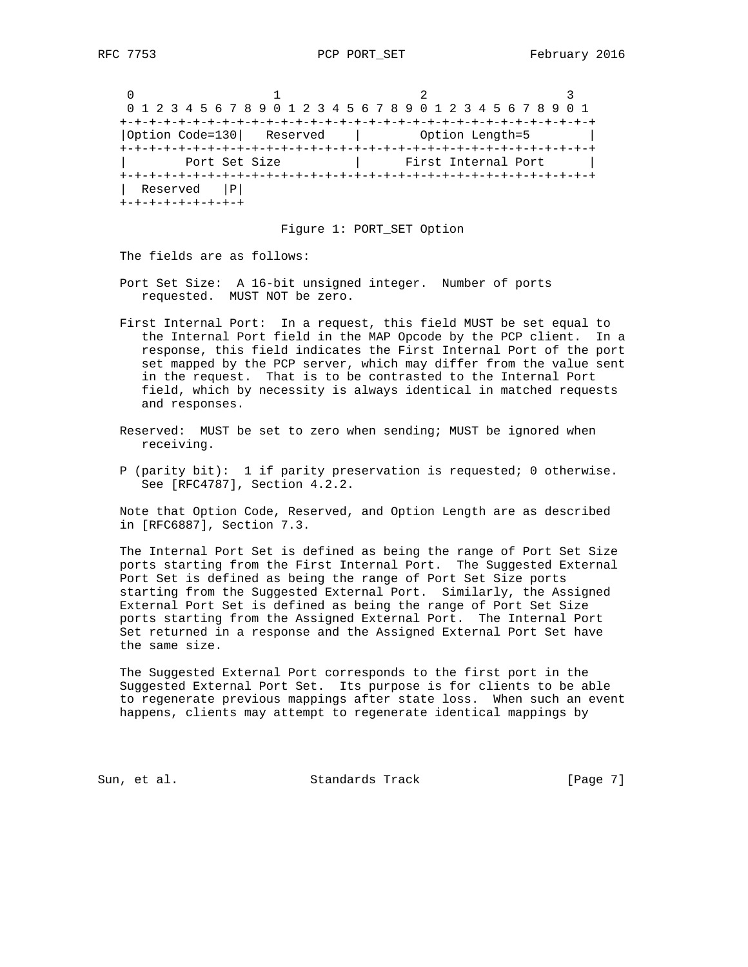0  $1$  2 3 0 1 2 3 4 5 6 7 8 9 0 1 2 3 4 5 6 7 8 9 0 1 2 3 4 5 6 7 8 9 0 1 +-+-+-+-+-+-+-+-+-+-+-+-+-+-+-+-+-+-+-+-+-+-+-+-+-+-+-+-+-+-+-+-+ |Option Code=130| Reserved | Option Length=5 | +-+-+-+-+-+-+-+-+-+-+-+-+-+-+-+-+-+-+-+-+-+-+-+-+-+-+-+-+-+-+-+-+ | Port Set Size | First Internal Port | +-+-+-+-+-+-+-+-+-+-+-+-+-+-+-+-+-+-+-+-+-+-+-+-+-+-+-+-+-+-+-+-+ | Reserved |P| +-+-+-+-+-+-+-+-+

### Figure 1: PORT\_SET Option

The fields are as follows:

- Port Set Size: A 16-bit unsigned integer. Number of ports requested. MUST NOT be zero.
- First Internal Port: In a request, this field MUST be set equal to the Internal Port field in the MAP Opcode by the PCP client. In a response, this field indicates the First Internal Port of the port set mapped by the PCP server, which may differ from the value sent in the request. That is to be contrasted to the Internal Port field, which by necessity is always identical in matched requests and responses.
- Reserved: MUST be set to zero when sending; MUST be ignored when receiving.
- P (parity bit): 1 if parity preservation is requested; 0 otherwise. See [RFC4787], Section 4.2.2.

 Note that Option Code, Reserved, and Option Length are as described in [RFC6887], Section 7.3.

 The Internal Port Set is defined as being the range of Port Set Size ports starting from the First Internal Port. The Suggested External Port Set is defined as being the range of Port Set Size ports starting from the Suggested External Port. Similarly, the Assigned External Port Set is defined as being the range of Port Set Size ports starting from the Assigned External Port. The Internal Port Set returned in a response and the Assigned External Port Set have the same size.

 The Suggested External Port corresponds to the first port in the Suggested External Port Set. Its purpose is for clients to be able to regenerate previous mappings after state loss. When such an event happens, clients may attempt to regenerate identical mappings by

Sun, et al. Standards Track [Page 7]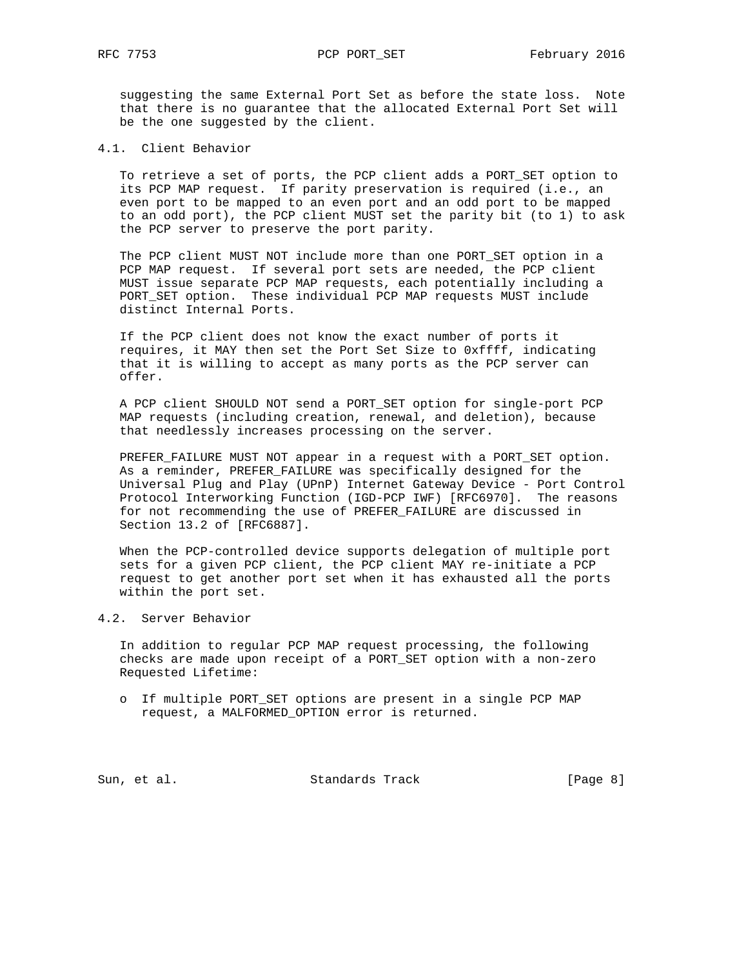suggesting the same External Port Set as before the state loss. Note that there is no guarantee that the allocated External Port Set will be the one suggested by the client.

4.1. Client Behavior

 To retrieve a set of ports, the PCP client adds a PORT\_SET option to its PCP MAP request. If parity preservation is required (i.e., an even port to be mapped to an even port and an odd port to be mapped to an odd port), the PCP client MUST set the parity bit (to 1) to ask the PCP server to preserve the port parity.

 The PCP client MUST NOT include more than one PORT\_SET option in a PCP MAP request. If several port sets are needed, the PCP client MUST issue separate PCP MAP requests, each potentially including a PORT\_SET option. These individual PCP MAP requests MUST include distinct Internal Ports.

 If the PCP client does not know the exact number of ports it requires, it MAY then set the Port Set Size to 0xffff, indicating that it is willing to accept as many ports as the PCP server can offer.

 A PCP client SHOULD NOT send a PORT\_SET option for single-port PCP MAP requests (including creation, renewal, and deletion), because that needlessly increases processing on the server.

 PREFER\_FAILURE MUST NOT appear in a request with a PORT\_SET option. As a reminder, PREFER\_FAILURE was specifically designed for the Universal Plug and Play (UPnP) Internet Gateway Device - Port Control Protocol Interworking Function (IGD-PCP IWF) [RFC6970]. The reasons for not recommending the use of PREFER\_FAILURE are discussed in Section 13.2 of [RFC6887].

 When the PCP-controlled device supports delegation of multiple port sets for a given PCP client, the PCP client MAY re-initiate a PCP request to get another port set when it has exhausted all the ports within the port set.

4.2. Server Behavior

 In addition to regular PCP MAP request processing, the following checks are made upon receipt of a PORT\_SET option with a non-zero Requested Lifetime:

 o If multiple PORT\_SET options are present in a single PCP MAP request, a MALFORMED\_OPTION error is returned.

Sun, et al. Standards Track [Page 8]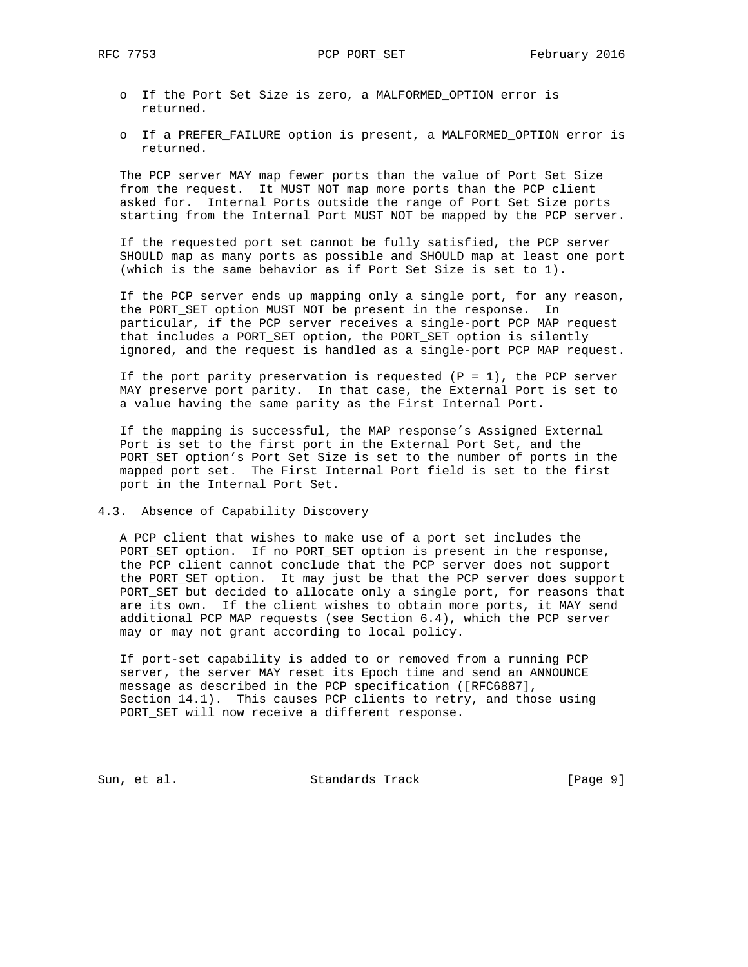- o If the Port Set Size is zero, a MALFORMED\_OPTION error is returned.
- o If a PREFER\_FAILURE option is present, a MALFORMED\_OPTION error is returned.

 The PCP server MAY map fewer ports than the value of Port Set Size from the request. It MUST NOT map more ports than the PCP client asked for. Internal Ports outside the range of Port Set Size ports starting from the Internal Port MUST NOT be mapped by the PCP server.

 If the requested port set cannot be fully satisfied, the PCP server SHOULD map as many ports as possible and SHOULD map at least one port (which is the same behavior as if Port Set Size is set to 1).

 If the PCP server ends up mapping only a single port, for any reason, the PORT\_SET option MUST NOT be present in the response. In particular, if the PCP server receives a single-port PCP MAP request that includes a PORT\_SET option, the PORT\_SET option is silently ignored, and the request is handled as a single-port PCP MAP request.

If the port parity preservation is requested  $(P = 1)$ , the PCP server MAY preserve port parity. In that case, the External Port is set to a value having the same parity as the First Internal Port.

 If the mapping is successful, the MAP response's Assigned External Port is set to the first port in the External Port Set, and the PORT\_SET option's Port Set Size is set to the number of ports in the mapped port set. The First Internal Port field is set to the first port in the Internal Port Set.

### 4.3. Absence of Capability Discovery

 A PCP client that wishes to make use of a port set includes the PORT\_SET option. If no PORT\_SET option is present in the response, the PCP client cannot conclude that the PCP server does not support the PORT\_SET option. It may just be that the PCP server does support PORT\_SET but decided to allocate only a single port, for reasons that are its own. If the client wishes to obtain more ports, it MAY send additional PCP MAP requests (see Section 6.4), which the PCP server may or may not grant according to local policy.

 If port-set capability is added to or removed from a running PCP server, the server MAY reset its Epoch time and send an ANNOUNCE message as described in the PCP specification ([RFC6887], Section 14.1). This causes PCP clients to retry, and those using PORT\_SET will now receive a different response.

Sun, et al. Standards Track [Page 9]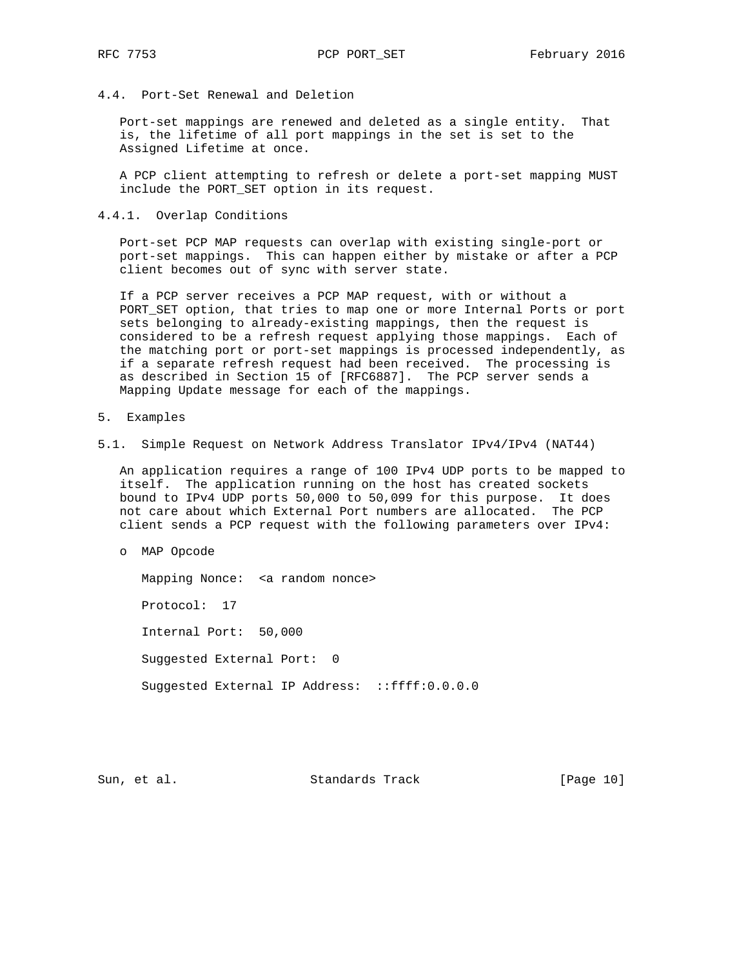4.4. Port-Set Renewal and Deletion

 Port-set mappings are renewed and deleted as a single entity. That is, the lifetime of all port mappings in the set is set to the Assigned Lifetime at once.

 A PCP client attempting to refresh or delete a port-set mapping MUST include the PORT\_SET option in its request.

4.4.1. Overlap Conditions

 Port-set PCP MAP requests can overlap with existing single-port or port-set mappings. This can happen either by mistake or after a PCP client becomes out of sync with server state.

 If a PCP server receives a PCP MAP request, with or without a PORT\_SET option, that tries to map one or more Internal Ports or port sets belonging to already-existing mappings, then the request is considered to be a refresh request applying those mappings. Each of the matching port or port-set mappings is processed independently, as if a separate refresh request had been received. The processing is as described in Section 15 of [RFC6887]. The PCP server sends a Mapping Update message for each of the mappings.

- 5. Examples
- 5.1. Simple Request on Network Address Translator IPv4/IPv4 (NAT44)

 An application requires a range of 100 IPv4 UDP ports to be mapped to itself. The application running on the host has created sockets bound to IPv4 UDP ports 50,000 to 50,099 for this purpose. It does not care about which External Port numbers are allocated. The PCP client sends a PCP request with the following parameters over IPv4:

o MAP Opcode

 Mapping Nonce: <a random nonce> Protocol: 17 Internal Port: 50,000 Suggested External Port: 0 Suggested External IP Address: ::ffff:0.0.0.0

Sun, et al. Standards Track [Page 10]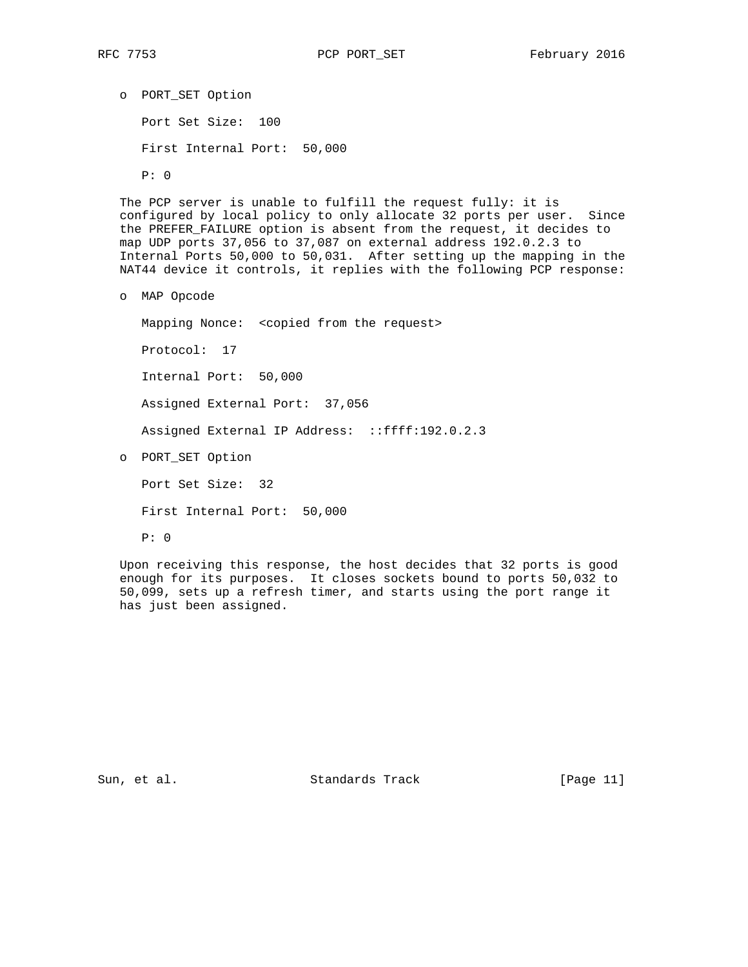o PORT\_SET Option Port Set Size: 100 First Internal Port: 50,000 P: 0

 The PCP server is unable to fulfill the request fully: it is configured by local policy to only allocate 32 ports per user. Since the PREFER\_FAILURE option is absent from the request, it decides to map UDP ports 37,056 to 37,087 on external address 192.0.2.3 to Internal Ports 50,000 to 50,031. After setting up the mapping in the NAT44 device it controls, it replies with the following PCP response:

o MAP Opcode

Mapping Nonce: <copied from the request>

Protocol: 17

Internal Port: 50,000

Assigned External Port: 37,056

Assigned External IP Address: ::ffff:192.0.2.3

o PORT\_SET Option

Port Set Size: 32

First Internal Port: 50,000

P: 0

 Upon receiving this response, the host decides that 32 ports is good enough for its purposes. It closes sockets bound to ports 50,032 to 50,099, sets up a refresh timer, and starts using the port range it has just been assigned.

Sun, et al. Standards Track [Page 11]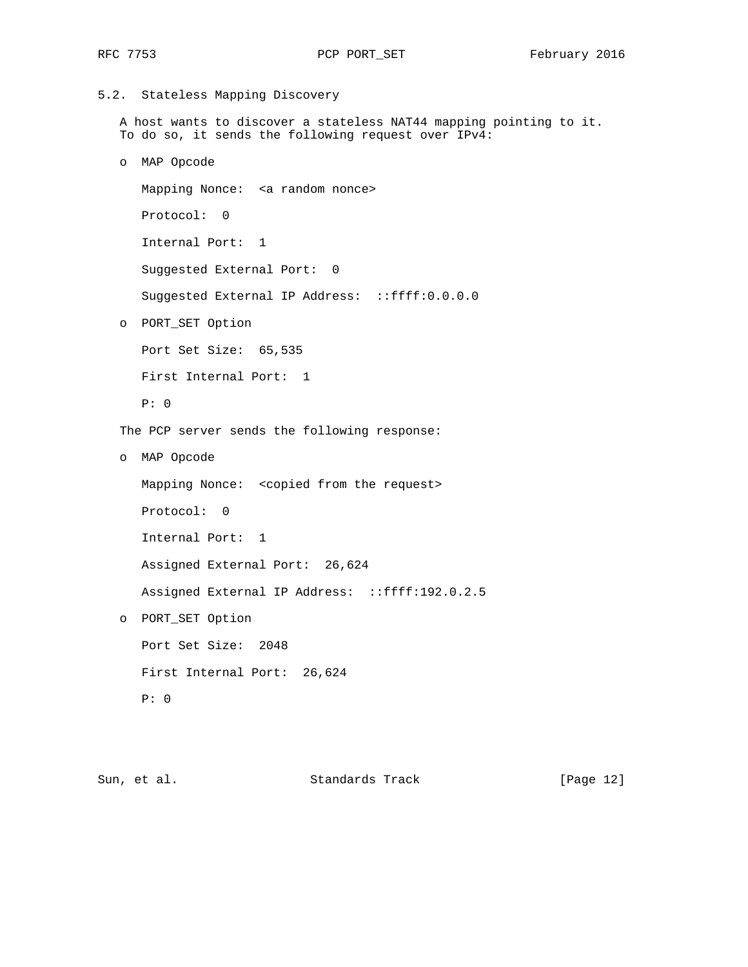```
5.2. Stateless Mapping Discovery
```
 A host wants to discover a stateless NAT44 mapping pointing to it. To do so, it sends the following request over IPv4:

o MAP Opcode

 Mapping Nonce: <a random nonce> Protocol: 0 Internal Port: 1 Suggested External Port: 0 Suggested External IP Address: ::ffff:0.0.0.0

o PORT\_SET Option

 Port Set Size: 65,535 First Internal Port: 1

P: 0

The PCP server sends the following response:

o MAP Opcode

Mapping Nonce: <copied from the request>

Protocol: 0

Internal Port: 1

Assigned External Port: 26,624

Assigned External IP Address: ::ffff:192.0.2.5

o PORT\_SET Option

 Port Set Size: 2048 First Internal Port: 26,624 P: 0

Sun, et al. Standards Track [Page 12]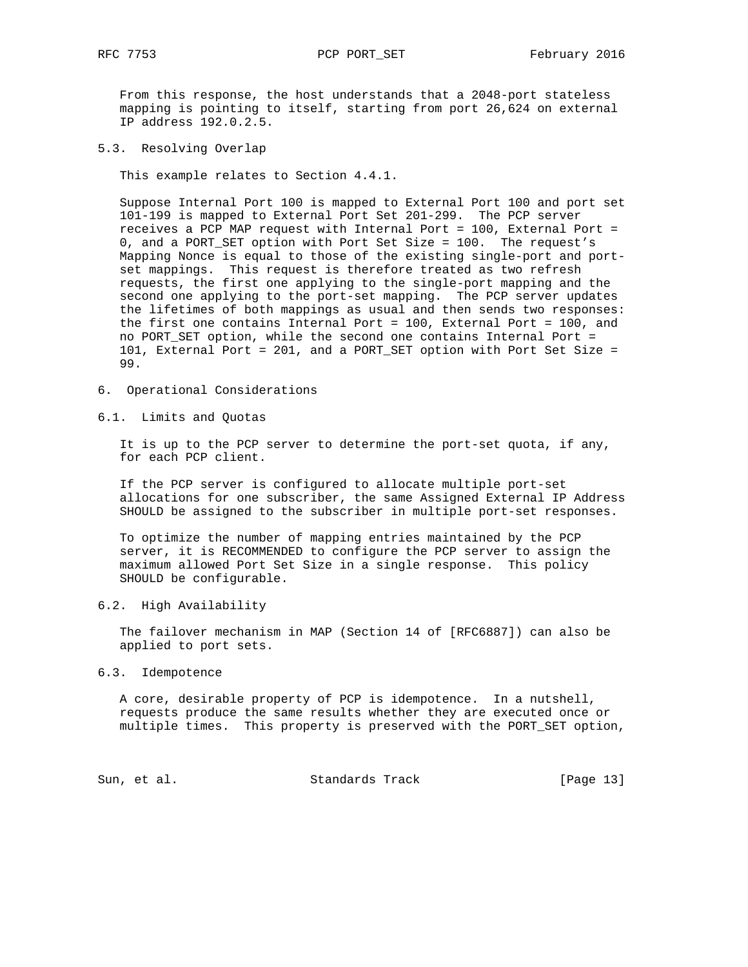From this response, the host understands that a 2048-port stateless mapping is pointing to itself, starting from port 26,624 on external

5.3. Resolving Overlap

IP address 192.0.2.5.

This example relates to Section 4.4.1.

 Suppose Internal Port 100 is mapped to External Port 100 and port set 101-199 is mapped to External Port Set 201-299. The PCP server receives a PCP MAP request with Internal Port = 100, External Port = 0, and a PORT\_SET option with Port Set Size = 100. The request's Mapping Nonce is equal to those of the existing single-port and port set mappings. This request is therefore treated as two refresh requests, the first one applying to the single-port mapping and the second one applying to the port-set mapping. The PCP server updates the lifetimes of both mappings as usual and then sends two responses: the first one contains Internal Port = 100, External Port = 100, and no PORT\_SET option, while the second one contains Internal Port = 101, External Port = 201, and a PORT\_SET option with Port Set Size = 99.

6. Operational Considerations

6.1. Limits and Quotas

 It is up to the PCP server to determine the port-set quota, if any, for each PCP client.

 If the PCP server is configured to allocate multiple port-set allocations for one subscriber, the same Assigned External IP Address SHOULD be assigned to the subscriber in multiple port-set responses.

 To optimize the number of mapping entries maintained by the PCP server, it is RECOMMENDED to configure the PCP server to assign the maximum allowed Port Set Size in a single response. This policy SHOULD be configurable.

6.2. High Availability

 The failover mechanism in MAP (Section 14 of [RFC6887]) can also be applied to port sets.

6.3. Idempotence

 A core, desirable property of PCP is idempotence. In a nutshell, requests produce the same results whether they are executed once or multiple times. This property is preserved with the PORT\_SET option,

Sun, et al. Standards Track [Page 13]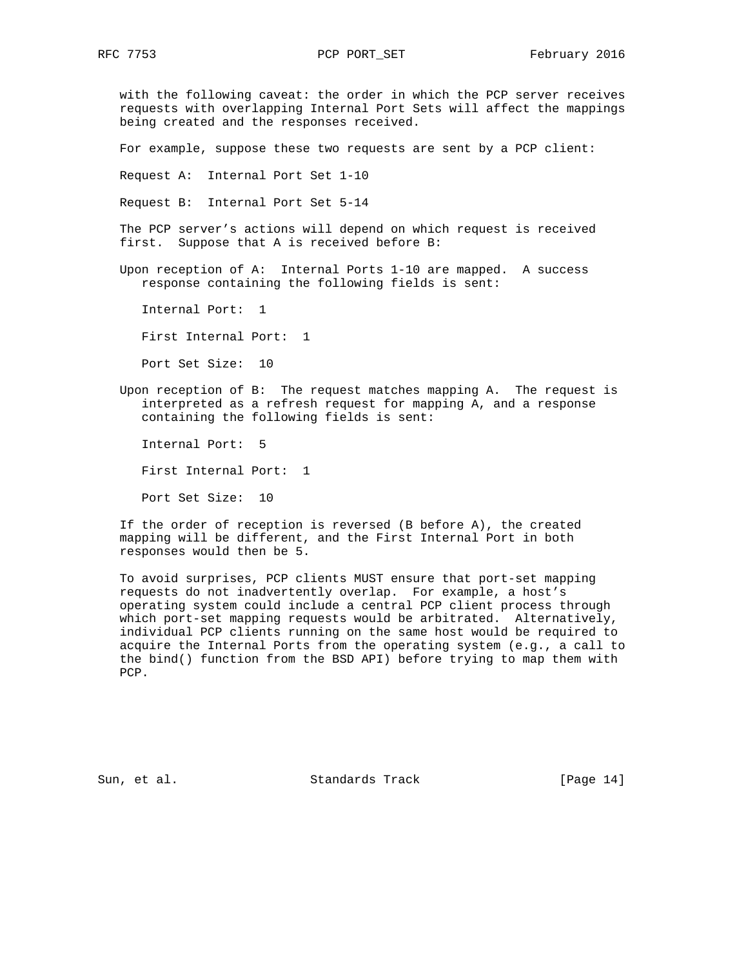with the following caveat: the order in which the PCP server receives requests with overlapping Internal Port Sets will affect the mappings being created and the responses received.

For example, suppose these two requests are sent by a PCP client:

Request A: Internal Port Set 1-10

Request B: Internal Port Set 5-14

 The PCP server's actions will depend on which request is received first. Suppose that A is received before B:

 Upon reception of A: Internal Ports 1-10 are mapped. A success response containing the following fields is sent:

Internal Port: 1

First Internal Port: 1

Port Set Size: 10

 Upon reception of B: The request matches mapping A. The request is interpreted as a refresh request for mapping A, and a response containing the following fields is sent:

Internal Port: 5

First Internal Port: 1

Port Set Size: 10

 If the order of reception is reversed (B before A), the created mapping will be different, and the First Internal Port in both responses would then be 5.

 To avoid surprises, PCP clients MUST ensure that port-set mapping requests do not inadvertently overlap. For example, a host's operating system could include a central PCP client process through which port-set mapping requests would be arbitrated. Alternatively, individual PCP clients running on the same host would be required to acquire the Internal Ports from the operating system (e.g., a call to the bind() function from the BSD API) before trying to map them with PCP.

Sun, et al. Standards Track [Page 14]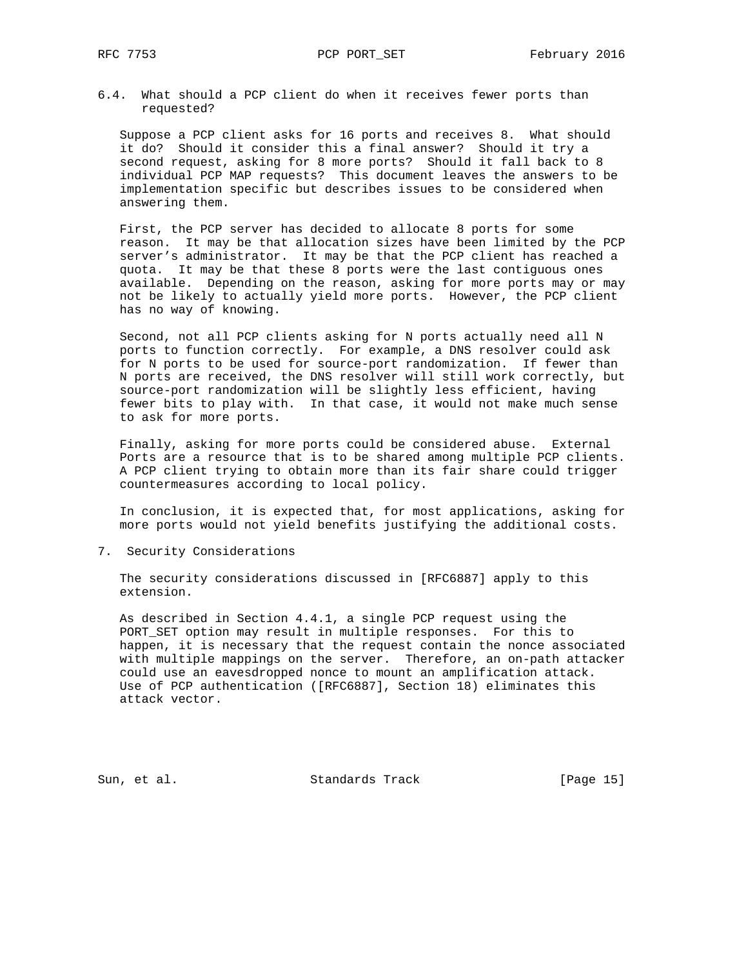6.4. What should a PCP client do when it receives fewer ports than requested?

 Suppose a PCP client asks for 16 ports and receives 8. What should it do? Should it consider this a final answer? Should it try a second request, asking for 8 more ports? Should it fall back to 8 individual PCP MAP requests? This document leaves the answers to be implementation specific but describes issues to be considered when answering them.

 First, the PCP server has decided to allocate 8 ports for some reason. It may be that allocation sizes have been limited by the PCP server's administrator. It may be that the PCP client has reached a quota. It may be that these 8 ports were the last contiguous ones available. Depending on the reason, asking for more ports may or may not be likely to actually yield more ports. However, the PCP client has no way of knowing.

 Second, not all PCP clients asking for N ports actually need all N ports to function correctly. For example, a DNS resolver could ask for N ports to be used for source-port randomization. If fewer than N ports are received, the DNS resolver will still work correctly, but source-port randomization will be slightly less efficient, having fewer bits to play with. In that case, it would not make much sense to ask for more ports.

 Finally, asking for more ports could be considered abuse. External Ports are a resource that is to be shared among multiple PCP clients. A PCP client trying to obtain more than its fair share could trigger countermeasures according to local policy.

 In conclusion, it is expected that, for most applications, asking for more ports would not yield benefits justifying the additional costs.

7. Security Considerations

 The security considerations discussed in [RFC6887] apply to this extension.

 As described in Section 4.4.1, a single PCP request using the PORT\_SET option may result in multiple responses. For this to happen, it is necessary that the request contain the nonce associated with multiple mappings on the server. Therefore, an on-path attacker could use an eavesdropped nonce to mount an amplification attack. Use of PCP authentication ([RFC6887], Section 18) eliminates this attack vector.

Sun, et al. Standards Track [Page 15]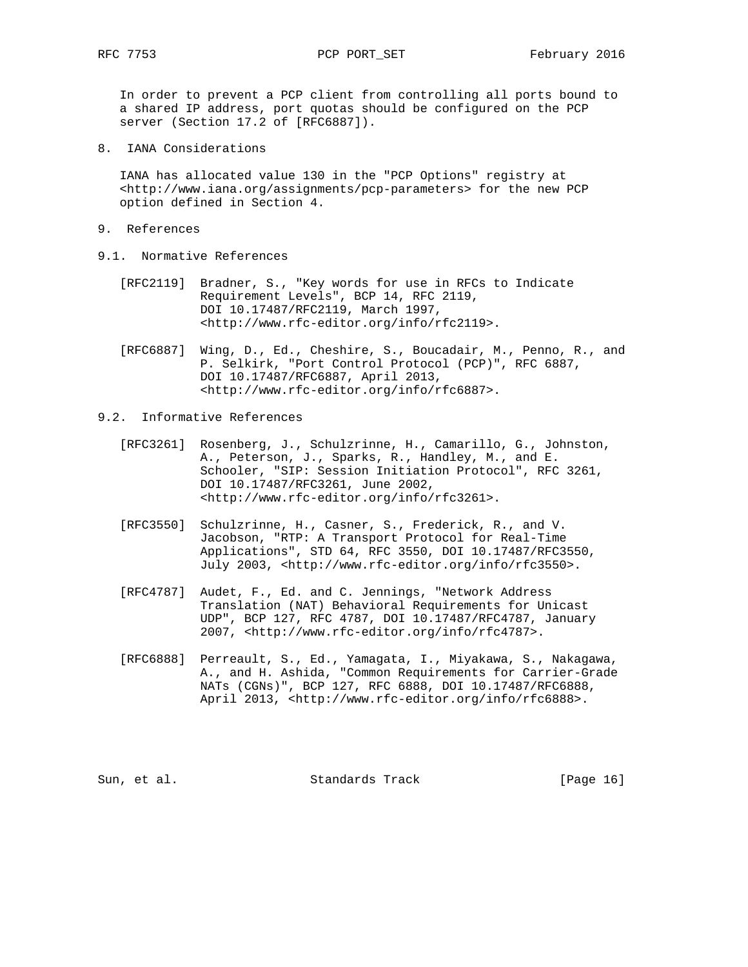In order to prevent a PCP client from controlling all ports bound to a shared IP address, port quotas should be configured on the PCP server (Section 17.2 of [RFC6887]).

8. IANA Considerations

 IANA has allocated value 130 in the "PCP Options" registry at <http://www.iana.org/assignments/pcp-parameters> for the new PCP option defined in Section 4.

- 9. References
- 9.1. Normative References
	- [RFC2119] Bradner, S., "Key words for use in RFCs to Indicate Requirement Levels", BCP 14, RFC 2119, DOI 10.17487/RFC2119, March 1997, <http://www.rfc-editor.org/info/rfc2119>.
	- [RFC6887] Wing, D., Ed., Cheshire, S., Boucadair, M., Penno, R., and P. Selkirk, "Port Control Protocol (PCP)", RFC 6887, DOI 10.17487/RFC6887, April 2013, <http://www.rfc-editor.org/info/rfc6887>.
- 9.2. Informative References
	- [RFC3261] Rosenberg, J., Schulzrinne, H., Camarillo, G., Johnston, A., Peterson, J., Sparks, R., Handley, M., and E. Schooler, "SIP: Session Initiation Protocol", RFC 3261, DOI 10.17487/RFC3261, June 2002, <http://www.rfc-editor.org/info/rfc3261>.
	- [RFC3550] Schulzrinne, H., Casner, S., Frederick, R., and V. Jacobson, "RTP: A Transport Protocol for Real-Time Applications", STD 64, RFC 3550, DOI 10.17487/RFC3550, July 2003, <http://www.rfc-editor.org/info/rfc3550>.
	- [RFC4787] Audet, F., Ed. and C. Jennings, "Network Address Translation (NAT) Behavioral Requirements for Unicast UDP", BCP 127, RFC 4787, DOI 10.17487/RFC4787, January 2007, <http://www.rfc-editor.org/info/rfc4787>.
	- [RFC6888] Perreault, S., Ed., Yamagata, I., Miyakawa, S., Nakagawa, A., and H. Ashida, "Common Requirements for Carrier-Grade NATs (CGNs)", BCP 127, RFC 6888, DOI 10.17487/RFC6888, April 2013, <http://www.rfc-editor.org/info/rfc6888>.

Sun, et al. Standards Track [Page 16]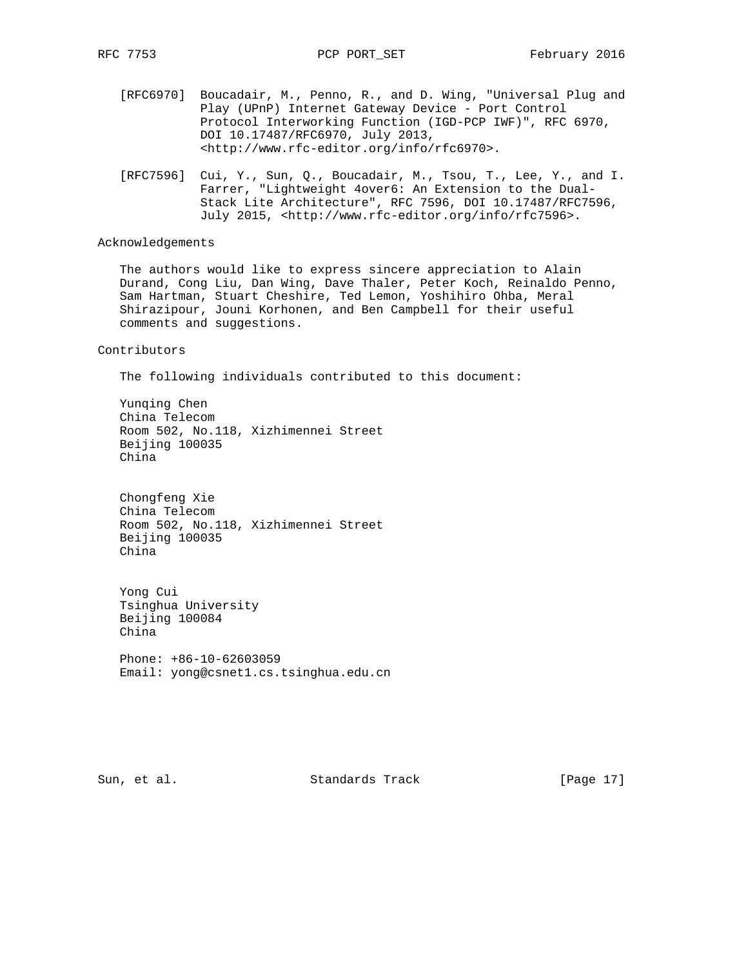- [RFC6970] Boucadair, M., Penno, R., and D. Wing, "Universal Plug and Play (UPnP) Internet Gateway Device - Port Control Protocol Interworking Function (IGD-PCP IWF)", RFC 6970, DOI 10.17487/RFC6970, July 2013, <http://www.rfc-editor.org/info/rfc6970>.
- [RFC7596] Cui, Y., Sun, Q., Boucadair, M., Tsou, T., Lee, Y., and I. Farrer, "Lightweight 4over6: An Extension to the Dual- Stack Lite Architecture", RFC 7596, DOI 10.17487/RFC7596, July 2015, <http://www.rfc-editor.org/info/rfc7596>.

# Acknowledgements

 The authors would like to express sincere appreciation to Alain Durand, Cong Liu, Dan Wing, Dave Thaler, Peter Koch, Reinaldo Penno, Sam Hartman, Stuart Cheshire, Ted Lemon, Yoshihiro Ohba, Meral Shirazipour, Jouni Korhonen, and Ben Campbell for their useful comments and suggestions.

#### Contributors

The following individuals contributed to this document:

 Yunqing Chen China Telecom Room 502, No.118, Xizhimennei Street Beijing 100035 China

 Chongfeng Xie China Telecom Room 502, No.118, Xizhimennei Street Beijing 100035 China

 Yong Cui Tsinghua University Beijing 100084 China

 Phone: +86-10-62603059 Email: yong@csnet1.cs.tsinghua.edu.cn

Sun, et al. Standards Track [Page 17]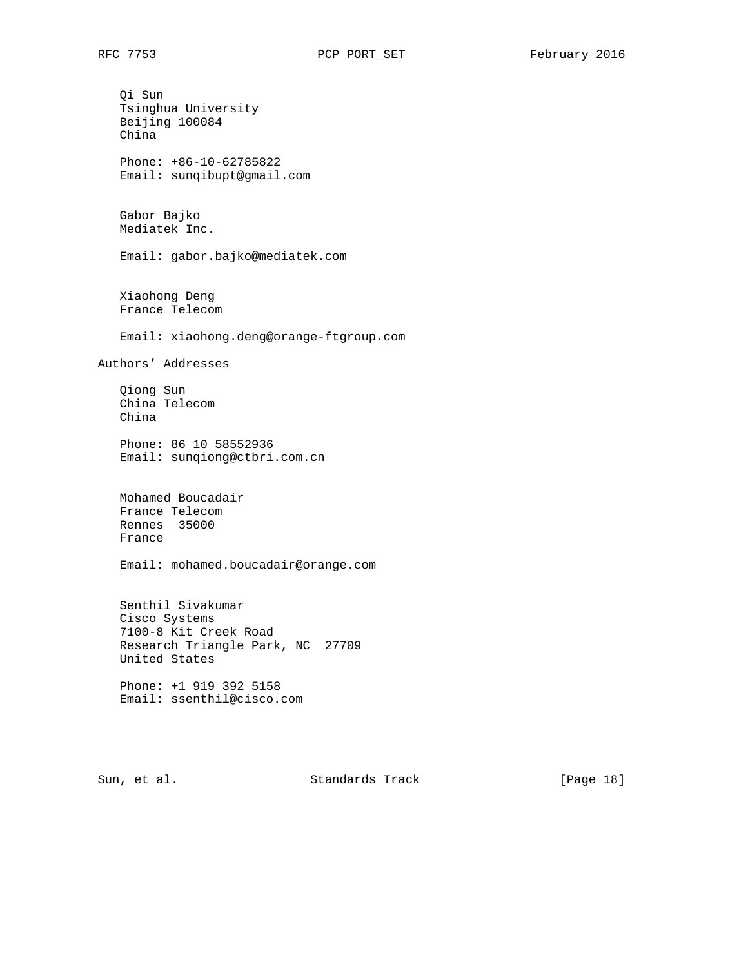Qi Sun Tsinghua University Beijing 100084 China Phone: +86-10-62785822 Email: sunqibupt@gmail.com Gabor Bajko Mediatek Inc. Email: gabor.bajko@mediatek.com Xiaohong Deng France Telecom Email: xiaohong.deng@orange-ftgroup.com Authors' Addresses Qiong Sun China Telecom China Phone: 86 10 58552936 Email: sunqiong@ctbri.com.cn Mohamed Boucadair France Telecom Rennes 35000 France Email: mohamed.boucadair@orange.com Senthil Sivakumar Cisco Systems 7100-8 Kit Creek Road Research Triangle Park, NC 27709 United States Phone: +1 919 392 5158 Email: ssenthil@cisco.com

Sun, et al. Standards Track [Page 18]